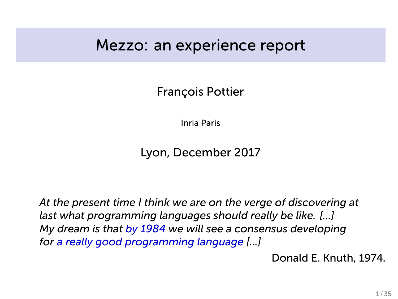### Mezzo: an experience report

François Pottier

Inria Paris

Lyon, December 2017

*At the present time I think we are on the verge of discovering at last what programming languages should really be like. [...] My dream is that by 1984 we will see a consensus developing for a really good programming language [...]*

Donald E. Knuth, 1974.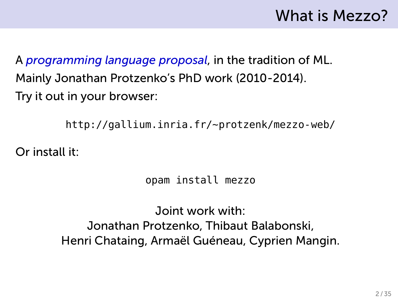# What is Mezzo?

A *programming language proposal*, in the tradition of ML. Mainly Jonathan Protzenko's PhD work (2010-2014). Try it out in your browser:

http://gallium.inria.fr/~protzenk/mezzo-web/

Or install it:

opam install mezzo

Joint work with: Jonathan Protzenko, Thibaut Balabonski, Henri Chataing, Armaël Guéneau, Cyprien Mangin.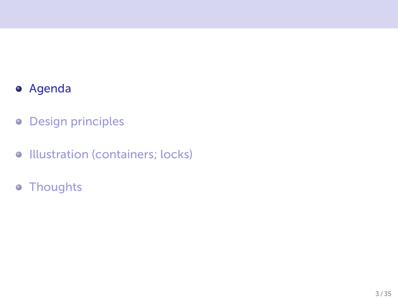### Agenda

- **o** Design principles
- **Illustration (containers; locks)**
- Thoughts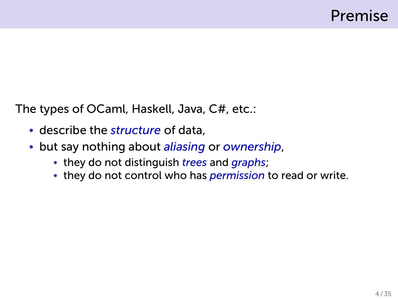The types of OCaml, Haskell, Java, C#, etc.:

- describe the *structure* of data,
- but say nothing about *aliasing* or *ownership*,
	- they do not distinguish *trees* and *graphs*;
	- they do not control who has *permission* to read or write.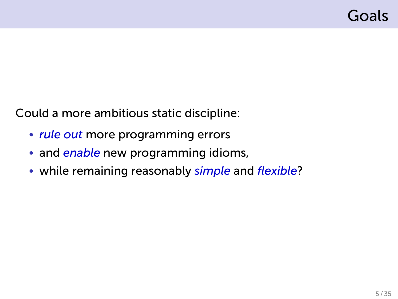Could a more ambitious static discipline:

- *rule out* more programming errors
- and *enable* new programming idioms,
- while remaining reasonably *simple* and *flexible*?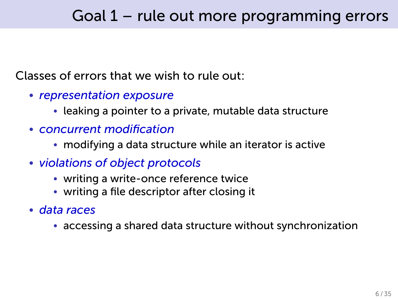### Goal 1 – rule out more programming errors

#### Classes of errors that we wish to rule out:

- *representation exposure*
	- leaking a pointer to a private, mutable data structure
- *concurrent modification*
	- modifying a data structure while an iterator is active
- *violations of object protocols*
	- writing a write-once reference twice
	- writing a file descriptor after closing it
- *data races*
	- accessing a shared data structure without synchronization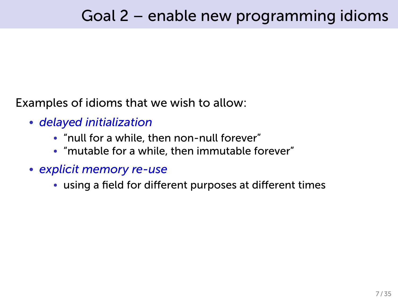Examples of idioms that we wish to allow:

- *delayed initialization*
	- "null for a while, then non-null forever"
	- "mutable for a while, then immutable forever"
- *explicit memory re-use*
	- using a field for different purposes at different times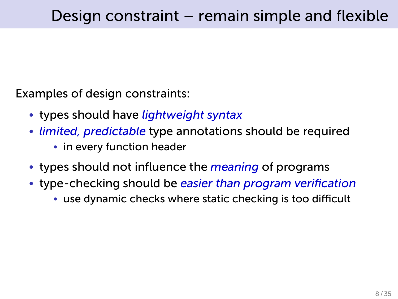Examples of design constraints:

- types should have *lightweight syntax*
- *limited, predictable* type annotations should be required
	- in every function header
- types should not influence the *meaning* of programs
- type-checking should be *easier than program verification*
	- use dynamic checks where static checking is too difficult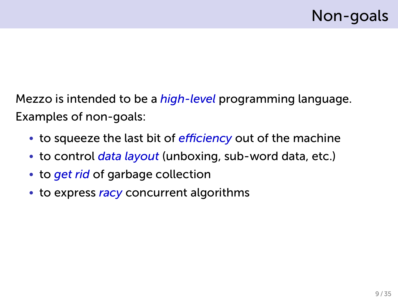Mezzo is intended to be a *high-level* programming language. Examples of non-goals:

- to squeeze the last bit of *efficiency* out of the machine
- to control *data layout* (unboxing, sub-word data, etc.)
- to *get rid* of garbage collection
- to express *racy* concurrent algorithms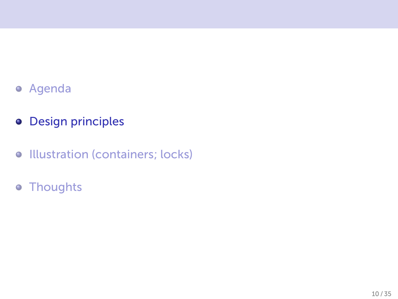- Agenda
- **o** Design principles
- **•** Illustration (containers; locks)
- Thoughts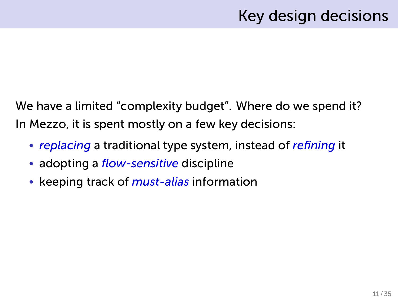## Key design decisions

We have a limited "complexity budget". Where do we spend it? In Mezzo, it is spent mostly on a few key decisions:

- *replacing* a traditional type system, instead of *refining* it
- adopting a *flow-sensitive* discipline
- keeping track of *must-alias* information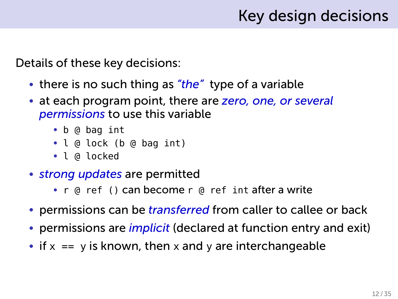## Key design decisions

Details of these key decisions:

- there is no such thing as *"the"* type of a variable
- at each program point, there are *zero, one, or several permissions* to use this variable
	- b @ bag int
	- l @ lock (b @ bag int)
	- l @ locked
- *strong updates* are permitted
	- r @ ref () can become r @ ref int after a write
- permissions can be *transferred* from caller to callee or back
- permissions are *implicit* (declared at function entry and exit)
- if  $x == y$  is known, then x and y are interchangeable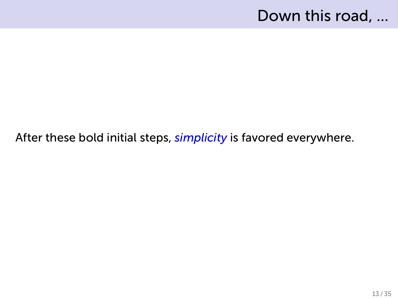### Down this road, ...

#### After these bold initial steps, *simplicity* is favored everywhere.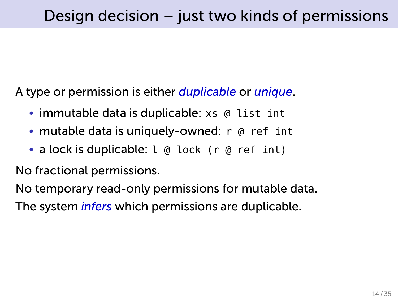A type or permission is either *duplicable* or *unique*.

- immutable data is duplicable: xs @ list int
- mutable data is uniquely-owned: r @ ref int
- a lock is duplicable: l @ lock (r @ ref int)

No fractional permissions.

No temporary read-only permissions for mutable data.

The system *infers* which permissions are duplicable.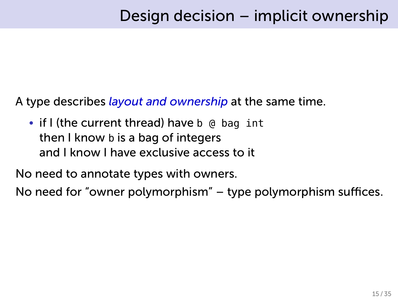A type describes *layout and ownership* at the same time.

• if I (the current thread) have b @ bag int then I know b is a bag of integers and I know I have exclusive access to it

No need to annotate types with owners.

No need for "owner polymorphism" – type polymorphism suffices.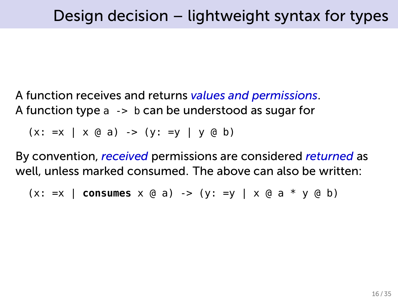A function receives and returns *values and permissions*. A function type a -> b can be understood as sugar for

 $(x: =x | x @ a) \rightarrow (y: =y | y @ b)$ 

By convention, *received* permissions are considered *returned* as well, unless marked consumed. The above can also be written:

 $(x: =x \mid \text{consumes } x \text{ @ a) -> (y: =y \mid x \text{ @ a * y \text{ @ b})}$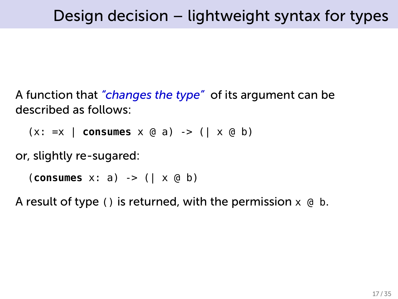A function that *"changes the type"* of its argument can be described as follows:

(x: =x | **consumes** x @ a) -> (| x @ b)

or, slightly re-sugared:

(**consumes** x: a) -> (| x @ b)

A result of type () is returned, with the permission  $x \oplus b$ .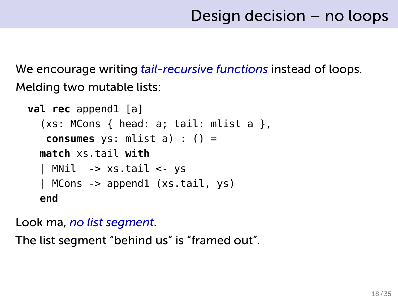We encourage writing *tail-recursive functions* instead of loops. Melding two mutable lists:

```
val rec append1 [a]
  (xs: MCons { head: a; tail: mlist a }consumes ys: mlist a) : () =
  match xs.tail with
  | MNil -> xs.tail <- ys
  | MCons -> append1 (xs.tail, ys)
  end
```
Look ma, *no list segment*.

The list segment "behind us" is "framed out".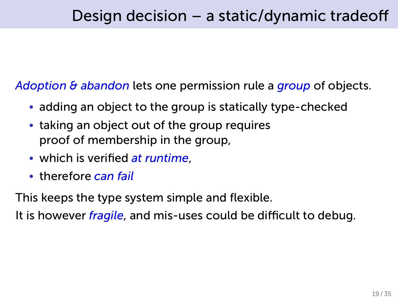*Adoption & abandon* lets one permission rule a *group* of objects.

- adding an object to the group is statically type-checked
- taking an object out of the group requires proof of membership in the group,
- which is verified *at runtime*,
- therefore *can fail*

This keeps the type system simple and flexible.

It is however *fragile*, and mis-uses could be difficult to debug.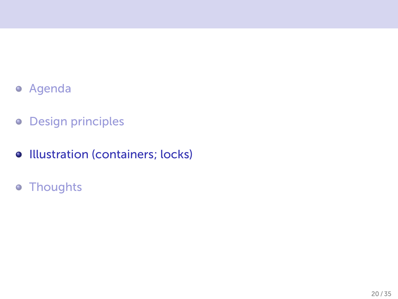- Agenda
- **o** Design principles
- **•** Illustration (containers; locks)
- Thoughts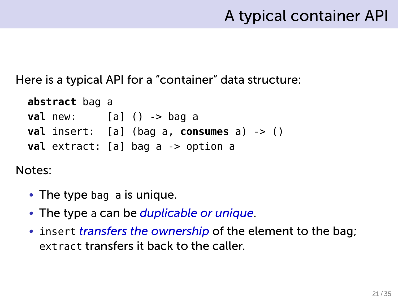### A typical container API

Here is a typical API for a "container" data structure:

```
abstract bag a
val new: [a] () -> bag a
val insert: [a] (bag a, consumes a) -> ()
val extract: [a] bag a -> option a
```
Notes:

- The type bag a is unique.
- The type a can be *duplicable or unique*.
- insert *transfers the ownership* of the element to the bag; extract transfers it back to the caller.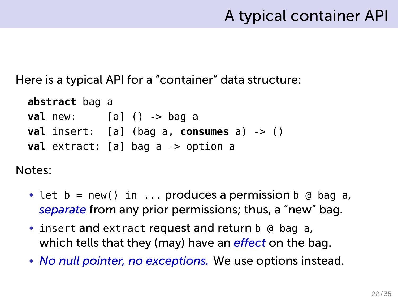### A typical container API

Here is a typical API for a "container" data structure:

```
abstract bag a
val new: [a] () -> bag a
val insert: [a] (bag a, consumes a) -> ()
val extract: [a] bag a -> option a
```
Notes:

- let  $b = new()$  in ... produces a permission  $b \oplus b$  bag a, *separate* from any prior permissions; thus, a "new" bag.
- insert and extract request and return b @ bag a, which tells that they (may) have an *effect* on the bag.
- *No null pointer, no exceptions.* We use options instead.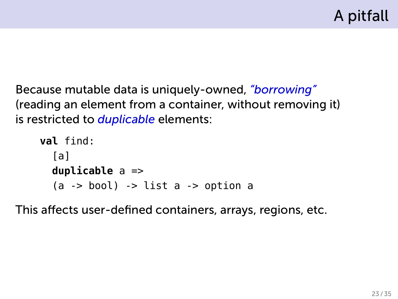Because mutable data is uniquely-owned, *"borrowing"* (reading an element from a container, without removing it) is restricted to *duplicable* elements:

```
val find:
  [a]
  duplicable a =>
  (a \rightarrow bool) -> list a \rightarrow option a
```
This affects user-defined containers, arrays, regions, etc.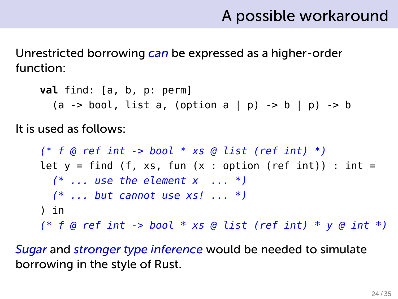### A possible workaround

Unrestricted borrowing *can* be expressed as a higher-order function:

**val** find: [a, b, p: perm]  $(a \rightarrow bool, list a, (option a | p) \rightarrow b | p) \rightarrow b$ 

It is used as follows:

*(\* f @ ref int -> bool \* xs @ list (ref int) \*)* let  $y = find$  (f, xs, fun (x : option (ref int)) : int = *(\* ... use the element x ... \*) (\* ... but cannot use xs! ... \*)* ) in *(\* f @ ref int -> bool \* xs @ list (ref int) \* y @ int \*)*

*Sugar* and *stronger type inference* would be needed to simulate borrowing in the style of Rust.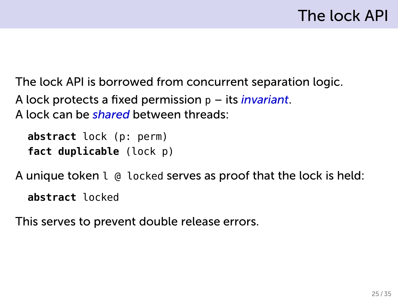The lock API is borrowed from concurrent separation logic. A lock protects a fixed permission p – its *invariant*. A lock can be *shared* between threads:

```
abstract lock (p: perm)
fact duplicable (lock p)
```
A unique token l @ locked serves as proof that the lock is held:

**abstract** locked

This serves to prevent double release errors.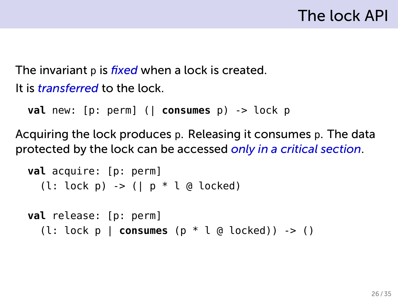The invariant p is *fixed* when a lock is created. It is *transferred* to the lock.

```
val new: [p: perm] (| consumes p) -> lock p
```
Acquiring the lock produces p. Releasing it consumes p. The data protected by the lock can be accessed *only in a critical section*.

```
val acquire: [p: perm]
  (l: lock p) -> (| p * l @ locked)
```

```
val release: [p: perm]
  (l: lock p | consumes (p * l @ locked)) -> ()
```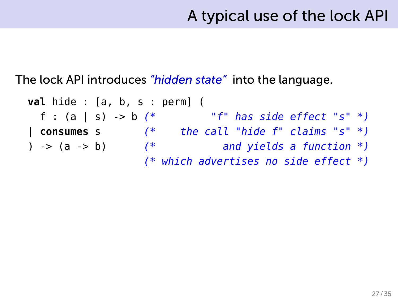The lock API introduces *"hidden state"* into the language.

**val** hide : [a, b, s : perm] ( f : (a | s) -> b *(\* "f" has side effect "s" \*)* | **consumes** s *(\* the call "hide f" claims "s" \*)* ) -> (a -> b) *(\* and yields a function \*) (\* which advertises no side effect \*)*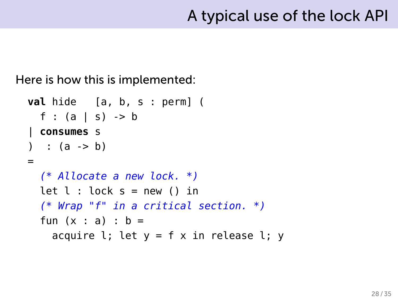Here is how this is implemented:

```
val hide [a, b, s : perm] (
  f : (a | s) -> b
| consumes s
) : (a -> b)=
  (* Allocate a new lock. *)
  let l : \text{lock } s = \text{new } () in
  (* Wrap "f" in a critical section. *)
  fun (x : a) : b =acquire l; let y = f x in release l; y
```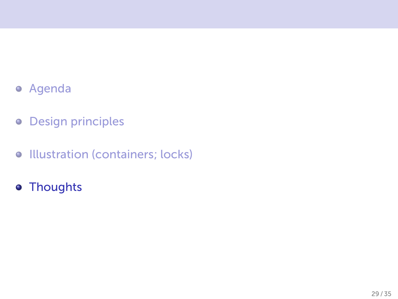- Agenda
- **o** Design principles
- **•** Illustration (containers; locks)
- Thoughts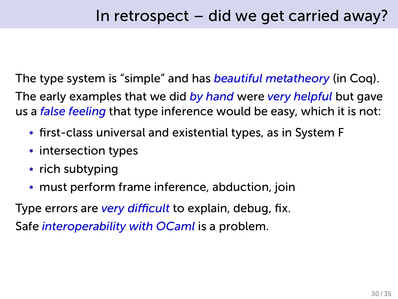The type system is "simple" and has *beautiful metatheory* (in Coq). The early examples that we did *by hand* were *very helpful* but gave us a *false feeling* that type inference would be easy, which it is not:

- first-class universal and existential types, as in System F
- intersection types
- rich subtyping
- must perform frame inference, abduction, join

Type errors are *very difficult* to explain, debug, fix. Safe *interoperability with OCaml* is a problem.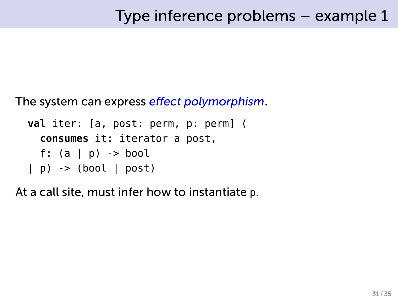The system can express *effect polymorphism*.

```
val iter: [a, post: perm, p: perm] (
  consumes it: iterator a post,
  f: (a | p) -> bool
| p) -> (bool | post)
```
At a call site, must infer how to instantiate p.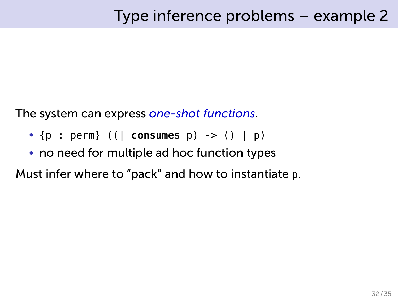The system can express *one-shot functions*.

- {p : perm} ((| **consumes** p) -> () | p)
- no need for multiple ad hoc function types

Must infer where to "pack" and how to instantiate p.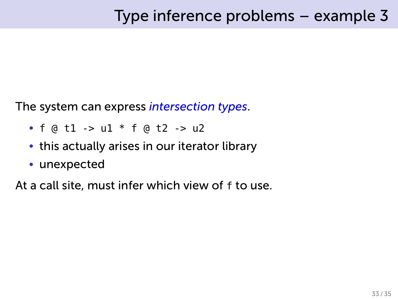The system can express *intersection types*.

- $f \circ d1 > u1 * f \circ d2 > u2$
- this actually arises in our iterator library
- unexpected

At a call site, must infer which view of f to use.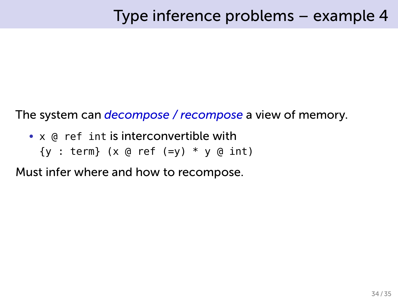The system can *decompose / recompose* a view of memory.

- x @ ref int is interconvertible with
	- ${y : term}$  (x @ ref (=y)  $*$  y @ int)

Must infer where and how to recompose.